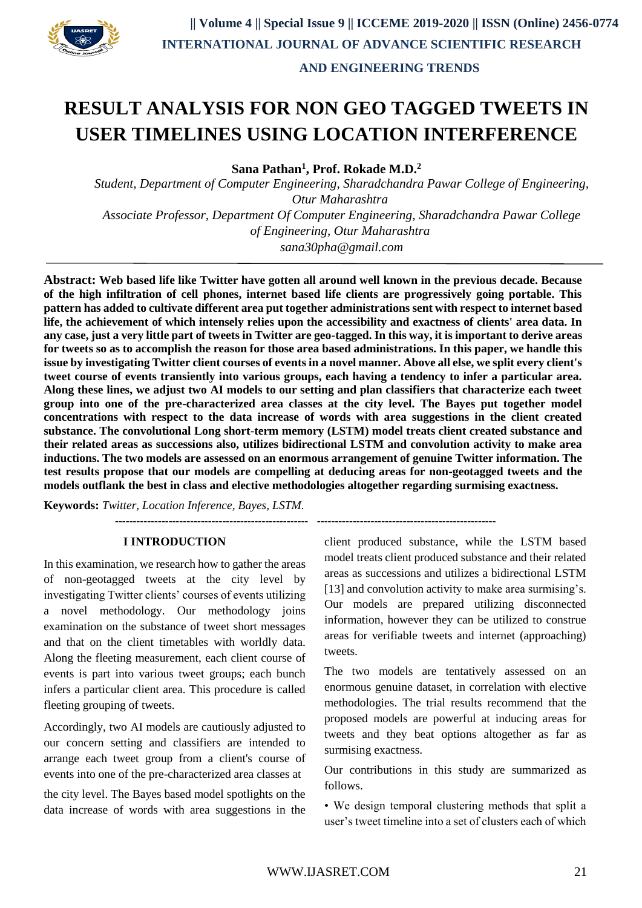

# **RESULT ANALYSIS FOR NON GEO TAGGED TWEETS IN USER TIMELINES USING LOCATION INTERFERENCE**

**Sana Pathan<sup>1</sup> , Prof. Rokade M.D.<sup>2</sup>**

*Student, Department of Computer Engineering, Sharadchandra Pawar College of Engineering, Otur Maharashtra Associate Professor, Department Of Computer Engineering, Sharadchandra Pawar College of Engineering, Otur Maharashtra sana30pha@gmail.com*

**Abstract: Web based life like Twitter have gotten all around well known in the previous decade. Because of the high infiltration of cell phones, internet based life clients are progressively going portable. This pattern has added to cultivate different area put together administrations sent with respect to internet based life, the achievement of which intensely relies upon the accessibility and exactness of clients' area data. In any case, just a very little part of tweets in Twitter are geo-tagged. In this way, it is important to derive areas for tweets so as to accomplish the reason for those area based administrations. In this paper, we handle this issue by investigating Twitter client courses of events in a novel manner. Above all else, we split every client's tweet course of events transiently into various groups, each having a tendency to infer a particular area. Along these lines, we adjust two AI models to our setting and plan classifiers that characterize each tweet group into one of the pre-characterized area classes at the city level. The Bayes put together model concentrations with respect to the data increase of words with area suggestions in the client created substance. The convolutional Long short-term memory (LSTM) model treats client created substance and their related areas as successions also, utilizes bidirectional LSTM and convolution activity to make area inductions. The two models are assessed on an enormous arrangement of genuine Twitter information. The test results propose that our models are compelling at deducing areas for non-geotagged tweets and the models outflank the best in class and elective methodologies altogether regarding surmising exactness.** 

**Keywords:** *Twitter, Location Inference, Bayes, LSTM.*

# **I INTRODUCTION**

**------------------------------------------------------ --------------------------------------------------**

In this examination, we research how to gather the areas of non-geotagged tweets at the city level by investigating Twitter clients' courses of events utilizing a novel methodology. Our methodology joins examination on the substance of tweet short messages and that on the client timetables with worldly data. Along the fleeting measurement, each client course of events is part into various tweet groups; each bunch infers a particular client area. This procedure is called fleeting grouping of tweets.

Accordingly, two AI models are cautiously adjusted to our concern setting and classifiers are intended to arrange each tweet group from a client's course of events into one of the pre-characterized area classes at

the city level. The Bayes based model spotlights on the data increase of words with area suggestions in the client produced substance, while the LSTM based model treats client produced substance and their related areas as successions and utilizes a bidirectional LSTM [13] and convolution activity to make area surmising's. Our models are prepared utilizing disconnected information, however they can be utilized to construe areas for verifiable tweets and internet (approaching) tweets.

The two models are tentatively assessed on an enormous genuine dataset, in correlation with elective methodologies. The trial results recommend that the proposed models are powerful at inducing areas for tweets and they beat options altogether as far as surmising exactness.

Our contributions in this study are summarized as follows.

• We design temporal clustering methods that split a user's tweet timeline into a set of clusters each of which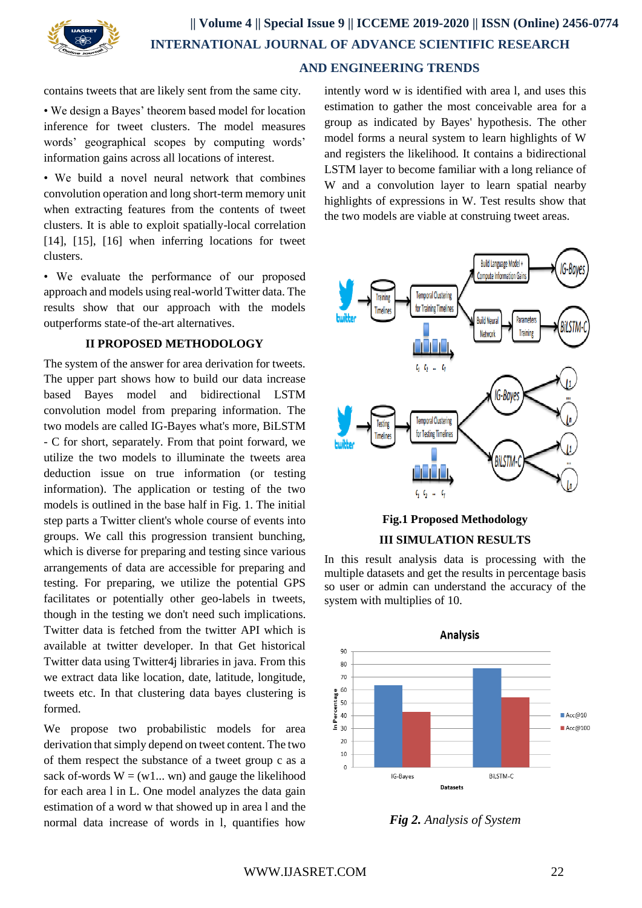

contains tweets that are likely sent from the same city.

• We design a Bayes' theorem based model for location inference for tweet clusters. The model measures words' geographical scopes by computing words' information gains across all locations of interest.

• We build a novel neural network that combines convolution operation and long short-term memory unit when extracting features from the contents of tweet clusters. It is able to exploit spatially-local correlation [14], [15], [16] when inferring locations for tweet clusters.

• We evaluate the performance of our proposed approach and models using real-world Twitter data. The results show that our approach with the models outperforms state-of the-art alternatives.

#### **II PROPOSED METHODOLOGY**

The system of the answer for area derivation for tweets. The upper part shows how to build our data increase based Bayes model and bidirectional LSTM convolution model from preparing information. The two models are called IG-Bayes what's more, BiLSTM - C for short, separately. From that point forward, we utilize the two models to illuminate the tweets area deduction issue on true information (or testing information). The application or testing of the two models is outlined in the base half in Fig. 1. The initial step parts a Twitter client's whole course of events into groups. We call this progression transient bunching, which is diverse for preparing and testing since various arrangements of data are accessible for preparing and testing. For preparing, we utilize the potential GPS facilitates or potentially other geo-labels in tweets, though in the testing we don't need such implications. Twitter data is fetched from the twitter API which is available at twitter developer. In that Get historical Twitter data using Twitter4j libraries in java. From this we extract data like location, date, latitude, longitude, tweets etc. In that clustering data bayes clustering is formed.

We propose two probabilistic models for area derivation that simply depend on tweet content. The two of them respect the substance of a tweet group c as a sack of-words  $W = (w1...$  wn) and gauge the likelihood for each area l in L. One model analyzes the data gain estimation of a word w that showed up in area l and the normal data increase of words in l, quantifies how

intently word w is identified with area l, and uses this estimation to gather the most conceivable area for a group as indicated by Bayes' hypothesis. The other model forms a neural system to learn highlights of W and registers the likelihood. It contains a bidirectional LSTM layer to become familiar with a long reliance of W and a convolution layer to learn spatial nearby highlights of expressions in W. Test results show that the two models are viable at construing tweet areas.





In this result analysis data is processing with the multiple datasets and get the results in percentage basis so user or admin can understand the accuracy of the system with multiplies of 10.



*Fig 2. Analysis of System*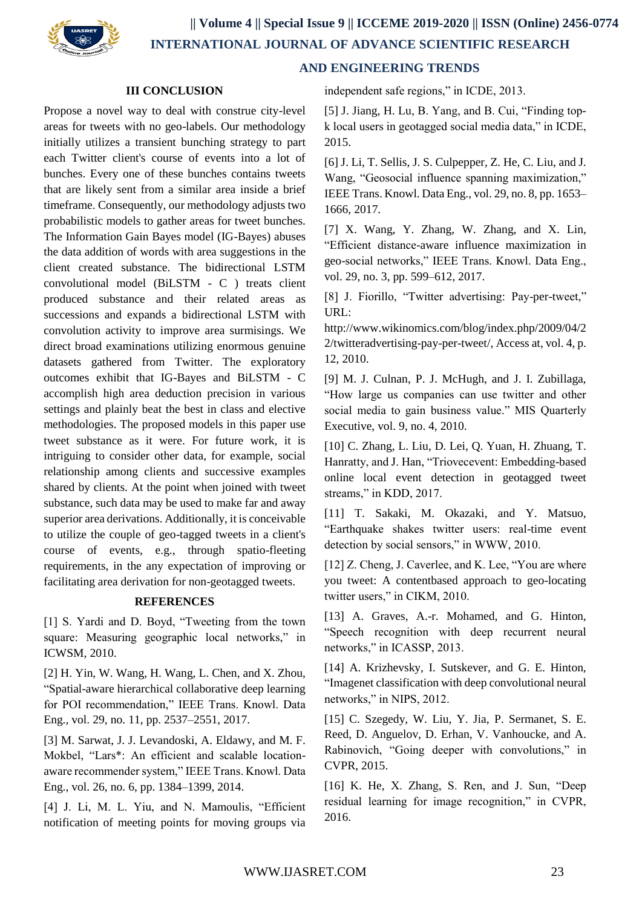

## **III CONCLUSION**

Propose a novel way to deal with construe city-level areas for tweets with no geo-labels. Our methodology initially utilizes a transient bunching strategy to part each Twitter client's course of events into a lot of bunches. Every one of these bunches contains tweets that are likely sent from a similar area inside a brief timeframe. Consequently, our methodology adjusts two probabilistic models to gather areas for tweet bunches. The Information Gain Bayes model (IG-Bayes) abuses the data addition of words with area suggestions in the client created substance. The bidirectional LSTM convolutional model (BiLSTM - C ) treats client produced substance and their related areas as successions and expands a bidirectional LSTM with convolution activity to improve area surmisings. We direct broad examinations utilizing enormous genuine datasets gathered from Twitter. The exploratory outcomes exhibit that IG-Bayes and BiLSTM - C accomplish high area deduction precision in various settings and plainly beat the best in class and elective methodologies. The proposed models in this paper use tweet substance as it were. For future work, it is intriguing to consider other data, for example, social relationship among clients and successive examples shared by clients. At the point when joined with tweet substance, such data may be used to make far and away superior area derivations. Additionally, it is conceivable to utilize the couple of geo-tagged tweets in a client's course of events, e.g., through spatio-fleeting requirements, in the any expectation of improving or facilitating area derivation for non-geotagged tweets.

### **REFERENCES**

[1] S. Yardi and D. Boyd, "Tweeting from the town square: Measuring geographic local networks," in ICWSM, 2010.

[2] H. Yin, W. Wang, H. Wang, L. Chen, and X. Zhou, "Spatial-aware hierarchical collaborative deep learning for POI recommendation," IEEE Trans. Knowl. Data Eng., vol. 29, no. 11, pp. 2537–2551, 2017.

[3] M. Sarwat, J. J. Levandoski, A. Eldawy, and M. F. Mokbel, "Lars\*: An efficient and scalable locationaware recommender system," IEEE Trans. Knowl. Data Eng., vol. 26, no. 6, pp. 1384–1399, 2014.

[4] J. Li, M. L. Yiu, and N. Mamoulis, "Efficient notification of meeting points for moving groups via

# **AND ENGINEERING TRENDS**

independent safe regions," in ICDE, 2013.

[5] J. Jiang, H. Lu, B. Yang, and B. Cui, "Finding topk local users in geotagged social media data," in ICDE, 2015.

[6] J. Li, T. Sellis, J. S. Culpepper, Z. He, C. Liu, and J. Wang, "Geosocial influence spanning maximization," IEEE Trans. Knowl. Data Eng., vol. 29, no. 8, pp. 1653– 1666, 2017.

[7] X. Wang, Y. Zhang, W. Zhang, and X. Lin, "Efficient distance-aware influence maximization in geo-social networks," IEEE Trans. Knowl. Data Eng., vol. 29, no. 3, pp. 599–612, 2017.

[8] J. Fiorillo, "Twitter advertising: Pay-per-tweet," URL:

http://www.wikinomics.com/blog/index.php/2009/04/2 2/twitteradvertising-pay-per-tweet/, Access at, vol. 4, p. 12, 2010.

[9] M. J. Culnan, P. J. McHugh, and J. I. Zubillaga, "How large us companies can use twitter and other social media to gain business value." MIS Quarterly Executive, vol. 9, no. 4, 2010.

[10] C. Zhang, L. Liu, D. Lei, Q. Yuan, H. Zhuang, T. Hanratty, and J. Han, "Triovecevent: Embedding-based online local event detection in geotagged tweet streams," in KDD, 2017.

[11] T. Sakaki, M. Okazaki, and Y. Matsuo, "Earthquake shakes twitter users: real-time event detection by social sensors," in WWW, 2010.

[12] Z. Cheng, J. Caverlee, and K. Lee, "You are where you tweet: A contentbased approach to geo-locating twitter users," in CIKM, 2010.

[13] A. Graves, A.-r. Mohamed, and G. Hinton, "Speech recognition with deep recurrent neural networks," in ICASSP, 2013.

[14] A. Krizhevsky, I. Sutskever, and G. E. Hinton, "Imagenet classification with deep convolutional neural networks," in NIPS, 2012.

[15] C. Szegedy, W. Liu, Y. Jia, P. Sermanet, S. E. Reed, D. Anguelov, D. Erhan, V. Vanhoucke, and A. Rabinovich, "Going deeper with convolutions," in CVPR, 2015.

[16] K. He, X. Zhang, S. Ren, and J. Sun, "Deep residual learning for image recognition," in CVPR, 2016.